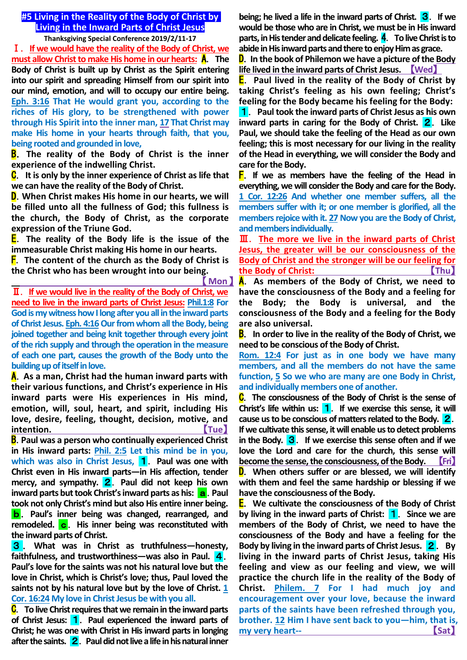# **#5 Living in the Reality of the Body of Christ by Living in the Inward Parts of Christ Jesus**

**Thanksgiving Special Conference 2019/2/11-17**

Ⅰ.**If we would have the reality of the Body of Christ, we must allow Christ to make His home in our hearts:** A.**The Body of Christ is built up by Christ as the Spirit entering into our spirit and spreading Himself from our spirit into our mind, emotion, and will to occupy our entire being. Eph. 3:16 That He would grant you, according to the riches of His glory, to be strengthened with power through His Spirit into the inner man, 17 That Christ may make His home in your hearts through faith, that you, being rooted and grounded in love,**

B.**The reality of the Body of Christ is the inner experience of the indwelling Christ.**

C.**It is only by the inner experience of Christ as life that we can have the reality of the Body of Christ.**

D.**When Christ makes His home in our hearts, we will be filled unto all the fullness of God; this fullness is the church, the Body of Christ, as the corporate expression of the Triune God.**

E.**The reality of the Body life is the issue of the immeasurable Christ making His home in our hearts.**

F.**The content of the church as the Body of Christ is the Christ who has been wrought into our being.**

【**Mon**】

Ⅱ.**If we would live in the reality of the Body of Christ, we need to live in the inward parts of Christ Jesus: Phil.1:8 For God is my witness how I long after you all in the inward parts**  of Christ Jesus. Eph. 4:16 Our from whom all the Body, being **joined together and being knit together through every joint of the rich supply and through the operation in the measure of each one part, causes the growth of the Body unto the building up of itself in love.**

A.**As a man, Christ had the human inward parts with their various functions, and Christ's experience in His inward parts were His experiences in His mind, emotion, will, soul, heart, and spirit, including His love, desire, feeling, thought, decision, motive, and intention.** 【Tue】

B.**Paul was a person who continually experienced Christ in His inward parts: Phil. 2:5 Let this mind be in you,**  which was also in Christ Jesus, **1**. Paul was one with **Christ even in His inward parts—in His affection, tender mercy, and sympathy.** 2.**Paul did not keep his own inward parts but took Christ's inward parts as his: a. Paul took not only Christ's mind but also His entire inner being.**

b.**Paul's inner being was changed, rearranged, and**  remodeled. c. His inner being was reconstituted with **the inward parts of Christ.**

3.**What was in Christ as truthfulness—honesty, faithfulness, and trustworthiness—was also in Paul.** 4. **Paul's love for the saints was not his natural love but the love in Christ, which is Christ's love; thus, Paul loved the saints not by his natural love but by the love of Christ. 1 Cor. 16:24 My love in Christ Jesus be with you all.**

C.**To live Christ requires that we remain in the inward parts of Christ Jesus:** 1.**Paul experienced the inward parts of Christ; he was one with Christ in His inward parts in longing after the saints.** 2.**Paul did not live a life in his natural inner** 

**being; he lived a life in the inward parts of Christ.** 3.**If we would be those who are in Christ, we must be in His inward parts, in His tender and delicate feeling.** 4.**To live Christ is to abide in His inward parts and there to enjoy Him as grace.**

D.**In the book of Philemon we have a picture of the Body life lived in the inward parts of Christ Jesus.** 【**Wed**】

E.**Paul lived in the reality of the Body of Christ by taking Christ's feeling as his own feeling; Christ's feeling for the Body became his feeling for the Body:**

1.**Paul took the inward parts of Christ Jesus as his own inward parts in caring for the Body of Christ. <b>2**. Like **Paul, we should take the feeling of the Head as our own feeling; this is most necessary for our living in the reality of the Head in everything, we will consider the Body and care for the Body.**

F.**If we as members have the feeling of the Head in everything, we will consider the Body and care for the Body. 1 Cor. 12:26 And whether one member suffers, all the members suffer with it; or one member is glorified, all the**  members rejoice with it. 27 Now you are the Body of Christ, **and members individually.**

Ⅲ.**The more we live in the inward parts of Christ Jesus, the greater will be our consciousness of the Body of Christ and the stronger will be our feeling for the Body of Christ: Thu** 

A.**As members of the Body of Christ, we need to have the consciousness of the Body and a feeling for the Body; the Body is universal, and the consciousness of the Body and a feeling for the Body are also universal.**

B.**In order to live in the reality of the Body of Christ, we need to be conscious of the Body of Christ.**

**Rom. 12:4 For just as in one body we have many members, and all the members do not have the same function, 5 So we who are many are one Body in Christ, and individually members one of another.**

C.**The consciousness of the Body of Christ is the sense of Christ's life within us:** 1.**If we exercise this sense, it will cause us to be conscious of matters related to the Body.** 2. **If we cultivate this sense, it will enable us to detect problems in the Body.** 3.**If we exercise this sense often and if we love the Lord and care for the church, this sense will become the sense, the consciousness, of the Body.** 【**Fri**】

D.**When others suffer or are blessed, we will identify with them and feel the same hardship or blessing if we have the consciousness of the Body.**

E.**We cultivate the consciousness of the Body of Christ by living in the inward parts of Christ:** 1.**Since we are members of the Body of Christ, we need to have the consciousness of the Body and have a feeling for the**  Body by living in the inward parts of Christ Jesus. **2**. By **living in the inward parts of Christ Jesus, taking His feeling and view as our feeling and view, we will practice the church life in the reality of the Body of Christ. Philem. 7 For I had much joy and encouragement over your love, because the inward parts of the saints have been refreshed through you, brother. 12 Him I have sent back to you—him, that is, my very heart--** 【**Sat**】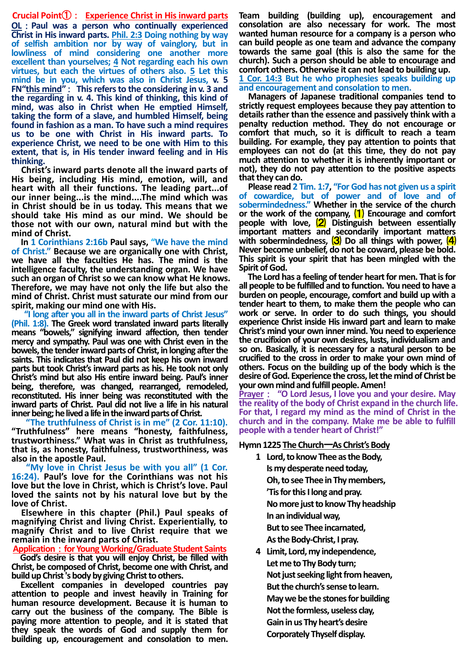**Crucial Point**①: **Experience Christ in His inward parts OL**:**Paul was a person who continually experienced Christ in His inward parts. Phil. 2:3 Doing nothing by way of selfish ambition nor by way of vainglory, but in lowliness of mind considering one another more excellent than yourselves; 4 Not regarding each his own virtues, but each the virtues of others also. 5 Let this mind be in you, which was also in Christ Jesus, v. 5 FN"this mind"**: **This refers to the considering in v. 3 and the regarding in v. 4. This kind of thinking, this kind of mind, was also in Christ when He emptied Himself, taking the form of a slave, and humbled Himself, being found in fashion as a man. To have such a mind requires us to be one with Christ in His inward parts. To experience Christ, we need to be one with Him to this extent, that is, in His tender inward feeling and in His thinking.**

**Christ's inward parts denote all the inward parts of His being, including His mind, emotion, will, and heart with all their functions. The leading part...of our inner being...is the mind....The mind which was in Christ should be in us today. This means that we should take His mind as our mind. We should be those not with our own, natural mind but with the mind of Christ.**

**In 1 Corinthians 2:16b Paul says, "We have the mind of Christ." Because we are organically one with Christ, we have all the faculties He has. The mind is the intelligence faculty, the understanding organ. We have such an organ of Christ so we can know what He knows. Therefore, we may have not only the life but also the mind of Christ. Christ must saturate our mind from our spirit, making our mind one with His.**

**"I long after you all in the inward parts of Christ Jesus" (Phil. 1:8). The Greek word translated inward parts literally means "bowels," signifying inward affection, then tender mercy and sympathy. Paul was one with Christ even in the bowels, the tender inward parts of Christ, in longing after the saints. This indicates that Paul did not keep his own inward parts but took Christ's inward parts as his. He took not only Christ's mind but also His entire inward being. Paul's inner being, therefore, was changed, rearranged, remodeled, reconstituted. His inner being was reconstituted with the inward parts of Christ. Paul did not live a life in his natural inner being; he lived a life in the inward parts of Christ.**

**"The truthfulness of Christ is in me" (2 Cor. 11:10). "Truthfulness" here means "honesty, faithfulness, trustworthiness." What was in Christ as truthfulness, that is, as honesty, faithfulness, trustworthiness, was also in the apostle Paul.**

**"My love in Christ Jesus be with you all" (1 Cor. 16:24). Paul's love for the Corinthians was not his love but the love in Christ, which is Christ's love. Paul loved the saints not by his natural love but by the love of Christ.**

**Elsewhere in this chapter (Phil.) Paul speaks of magnifying Christ and living Christ. Experientially, to magnify Christ and to live Christ require that we remain in the inward parts of Christ.**

**Application**:**for Young Working/Graduate Student Saints**

**God's desire is that you will enjoy Christ, be filled with Christ, be composed of Christ, become one with Christ, and build up Christ 's body by giving Christ to others.**

**Excellent companies in developed countries pay attention to people and invest heavily in Training for human resource development. Because it is human to carry out the business of the company. The Bible is paying more attention to people, and it is stated that they speak the words of God and supply them for building up, encouragement and consolation to men.**

**Team building (building up), encouragement and consolation are also necessary for work. The most wanted human resource for a company is a person who can build people as one team and advance the company towards the same goal (this is also the same for the church). Such a person should be able to encourage and comfort others. Otherwise it can not lead to building up. 1 Cor. 14:3 But he who prophesies speaks building up and encouragement and consolation to men.**

**Managers of Japanese traditional companies tend to strictly request employees because they pay attention to details rather than the essence and passively think with a penalty reduction method. They do not encourage or comfort that much, so it is difficult to reach a team building. For example, they pay attention to points that employees can not do (at this time, they do not pay much attention to whether it is inherently important or not), they do not pay attention to the positive aspects that they can do.**

**Please read 2 Tim. 1:7, "For God has not given us a spirit of cowardice, but of power and of love and of sobermindedness." Whether in the service of the church or the work of the company,** ⑴ **Encourage and comfort people with love,** ⑵ **Distinguish between essentially important matters and secondarily important matters**  with sobermindedness, (3) Do all things with power, (4) **Never become unbelief, do not be coward, please be bold. This spirit is your spirit that has been mingled with the Spirit of God.**

**The Lord has a feeling of tender heart for men. That is for all people to be fulfilled and to function. You need to have a burden on people, encourage, comfort and build up with a tender heart to them, to make them the people who can work or serve. In order to do such things, you should experience Christ inside His inward part and learn to make Christ's mind your own inner mind. You need to experience the crucifixion of your own desires, lusts, individualism and so on. Basically, it is necessary for a natural person to be crucified to the cross in order to make your own mind of others. Focus on the building up of the body which is the desire of God. Experience the cross, let the mind of Christ be your own mind and fulfill people. Amen!**

**Prayer**: **"O Lord Jesus, I love you and your desire. May the reality of the body of Christ expand in the church life. For that, I regard my mind as the mind of Christ in the church and in the company. Make me be able to fulfill people with a tender heart of Christ!"**

### **Hymn 1225 The Church**ー**As Christ's Body**

- **1 Lord, to know Thee as the Body, Is my desperate need today, Oh, to see Thee in Thy members, 'Tisfor this I long and pray. No more just to know Thy headship In an individual way, But to see Thee incarnated, As the Body-Christ, I pray.**
- **4 Limit, Lord, my independence, Let me to Thy Body turn; Not just seeking light from heaven, But the church's sense to learn. May we be the stones for building Not the formless, useless clay, Gain in us Thy heart's desire Corporately Thyself display.**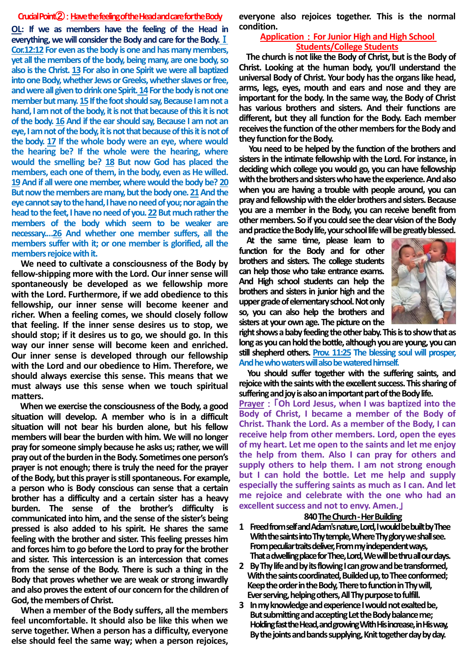#### **CrucialPoint**②:**Have the feeling of the Head and care for the Body**

**OL: If we as members have the feeling of the Head in everything, we will consider the Body and care for the Body.**Ⅰ **Cor.12:12 For even as the body is one and has many members, yet all the members of the body, being many, are one body, so also is the Christ. 13 For also in one Spirit we were all baptized into one Body, whether Jews or Greeks, whether slaves or free, and were all given to drink one Spirit.14For the body is not one**  member but many. 15 If the foot should say, Because I am not a **hand, I am not of the body, it is not that because of this it is not of the body. 16 And if the ear should say, Because I am not an eye, I am not of the body, it is not that because of this it is not of the body. 17 If the whole body were an eye, where would the hearing be? If the whole were the hearing, where would the smelling be? 18 But now God has placed the members, each one of them, in the body, even as He willed. 19And if all were one member, where would the body be? 20** But now the members are many, but the body one. 21 And the **eye cannot say to the hand, I have no need of you; nor again the head to the feet, I have no need of you. 22But much rather the members of the body which seem to be weaker are necessary.…26 And whether one member suffers, all the members suffer with it; or one member is glorified, all the members rejoice with it.**

**We need to cultivate a consciousness of the Body by fellow-shipping more with the Lord. Our inner sense will spontaneously be developed as we fellowship more with the Lord. Furthermore, if we add obedience to this fellowship, our inner sense will become keener and richer. When a feeling comes, we should closely follow that feeling. If the inner sense desires us to stop, we should stop; if it desires us to go, we should go. In this way our inner sense will become keen and enriched. Our inner sense is developed through our fellowship with the Lord and our obedience to Him. Therefore, we should always exercise this sense. This means that we must always use this sense when we touch spiritual matters.** 

**When we exercise the consciousness of the Body, a good situation will develop. A member who is in a difficult situation will not bear his burden alone, but his fellow members will bear the burden with him. We will no longer pray for someone simply because he asks us; rather, we will pray out of the burden in the Body. Sometimes one person's prayer is not enough; there is truly the need for the prayer of the Body, but this prayer is still spontaneous. For example, a person who is Body conscious can sense that a certain brother has a difficulty and a certain sister has a heavy burden. The sense of the brother's difficulty is communicated into him, and the sense of the sister's being pressed is also added to his spirit. He shares the same feeling with the brother and sister. This feeling presses him and forces him to go before the Lord to pray for the brother and sister. This intercession is an intercession that comes from the sense of the Body. There is such a thing in the Body that proves whether we are weak or strong inwardly and also proves the extent of our concern for the children of God, the members of Christ.**

**When a member of the Body suffers, all the members feel uncomfortable. It should also be like this when we serve together. When a person has a difficulty, everyone else should feel the same way; when a person rejoices,**  **everyone also rejoices together. This is the normal condition.** 

#### **Application**:**For Junior High and High School Students/College Students**

**The church is not like the Body of Christ, but is the Body of Christ. Looking at the human body, you'll understand the universal Body of Christ. Your body has the organs like head, arms, legs, eyes, mouth and ears and nose and they are important for the body. In the same way, the Body of Christ has various brothers and sisters. And their functions are different, but they all function for the Body. Each member receives the function of the other members for the Body and they function for the Body.** 

**You need to be helped by the function of the brothers and sisters in the intimate fellowship with the Lord. For instance, in deciding which college you would go, you can have fellowship with the brothers and sisters who have the experience. And also when you are having a trouble with people around, you can pray and fellowship with the elder brothers and sisters. Because you are a member in the Body, you can receive benefit from other members. So if you could see the clear vision of the Body and practice the Body life, your school life will be greatly blessed.**

**At the same time, please learn to function for the Body and for other brothers and sisters. The college students can help those who take entrance exams. And High school students can help the brothers and sisters in junior high and the upper grade of elementary school. Not only so, you can also help the brothers and sisters at your own age. The picture on the** 



**right shows a baby feeding the other baby. This is to show that as long as you can hold the bottle, although you are young, you can still shepherd others. Prov. 11:25 The blessing soul will prosper, And he who waters will also be watered himself.**

**You should suffer together with the suffering saints, and rejoice with the saints with the excellent success. This sharing of suffering and joy is also an important part of the Body life.**

**Prayer**:「**Oh Lord Jesus, when I was baptized into the Body of Christ, I became a member of the Body of Christ. Thank the Lord. As a member of the Body, I can receive help from other members. Lord, open the eyes of my heart. Let me open to the saints and let me enjoy the help from them. Also I can pray for others and supply others to help them. I am not strong enough but I can hold the bottle. Let me help and supply especially the suffering saints as much as I can. And let me rejoice and celebrate with the one who had an excellent success and not to envy. Amen.**」

#### **840The Church -Her Building**

- **1 Freed from self and Adam's nature,Lord, I would be built by Thee With the saints into Thy temple,Where Thy glory we shall see.** From peculiar traits deliver, From my independent ways, **That a dwelling place for Thee, Lord,We will be thru all our days.**
- **2 By Thy life and by its flowingI can grow and be transformed,** With the saints coordinated, Builded up, to Thee conformed; **Keep the order in the Body,There to function in Thy will, Ever serving, helping others,All Thy purpose to fulfill.**
- **3 In my knowledge and experienceI would not exalted be, But submitting and acceptingLet the Body balance me; Holding fast the Head, and growingWith His increase, in His way,** By the joints and bands supplying, Knit together day by day.